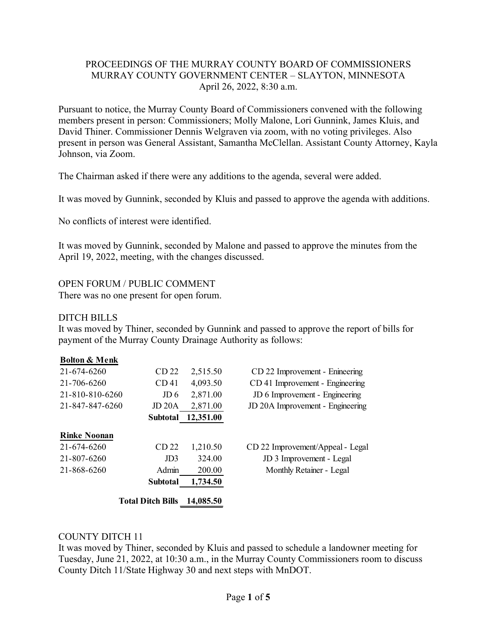## PROCEEDINGS OF THE MURRAY COUNTY BOARD OF COMMISSIONERS MURRAY COUNTY GOVERNMENT CENTER – SLAYTON, MINNESOTA April 26, 2022, 8:30 a.m.

Pursuant to notice, the Murray County Board of Commissioners convened with the following members present in person: Commissioners; Molly Malone, Lori Gunnink, James Kluis, and David Thiner. Commissioner Dennis Welgraven via zoom, with no voting privileges. Also present in person was General Assistant, Samantha McClellan. Assistant County Attorney, Kayla Johnson, via Zoom.

The Chairman asked if there were any additions to the agenda, several were added.

It was moved by Gunnink, seconded by Kluis and passed to approve the agenda with additions.

No conflicts of interest were identified.

It was moved by Gunnink, seconded by Malone and passed to approve the minutes from the April 19, 2022, meeting, with the changes discussed.

## OPEN FORUM / PUBLIC COMMENT

There was no one present for open forum.

### DITCH BILLS

It was moved by Thiner, seconded by Gunnink and passed to approve the report of bills for payment of the Murray County Drainage Authority as follows:

#### **Bolton & Menk**

| 21-674-6260         | CD <sub>22</sub>         | 2,515.50  | CD 22 Improvement - Enineering   |
|---------------------|--------------------------|-----------|----------------------------------|
| 21-706-6260         | CD <sub>41</sub>         | 4,093.50  | CD 41 Improvement - Engineering  |
| 21-810-810-6260     | JD 6                     | 2,871.00  | JD 6 Improvement - Engineering   |
| 21-847-847-6260     | JD 20A                   | 2,871.00  | JD 20A Improvement - Engineering |
|                     | <b>Subtotal</b>          | 12,351.00 |                                  |
| <b>Rinke Noonan</b> |                          |           |                                  |
| 21-674-6260         | CD <sub>22</sub>         | 1,210.50  | CD 22 Improvement/Appeal - Legal |
| 21-807-6260         | JD <sub>3</sub>          | 324.00    | JD 3 Improvement - Legal         |
| 21-868-6260         | Admin                    | 200.00    | Monthly Retainer - Legal         |
|                     | <b>Subtotal</b>          | 1,734.50  |                                  |
|                     | <b>Total Ditch Bills</b> | 14,085.50 |                                  |

#### COUNTY DITCH 11

It was moved by Thiner, seconded by Kluis and passed to schedule a landowner meeting for Tuesday, June 21, 2022, at 10:30 a.m., in the Murray County Commissioners room to discuss County Ditch 11/State Highway 30 and next steps with MnDOT.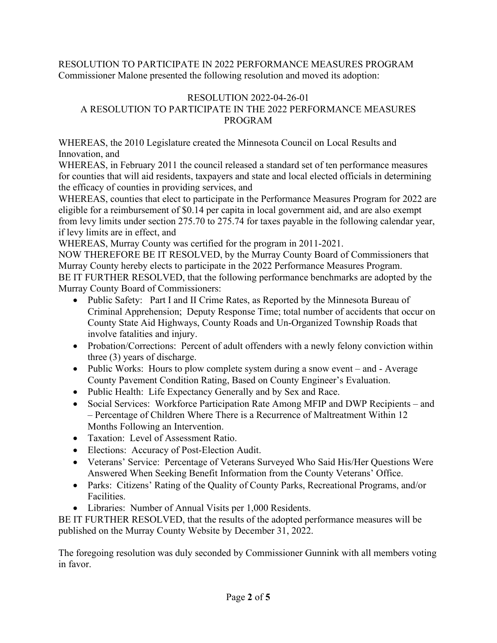RESOLUTION TO PARTICIPATE IN 2022 PERFORMANCE MEASURES PROGRAM Commissioner Malone presented the following resolution and moved its adoption:

## RESOLUTION 2022-04-26-01 A RESOLUTION TO PARTICIPATE IN THE 2022 PERFORMANCE MEASURES PROGRAM

WHEREAS, the 2010 Legislature created the Minnesota Council on Local Results and Innovation, and

WHEREAS, in February 2011 the council released a standard set of ten performance measures for counties that will aid residents, taxpayers and state and local elected officials in determining the efficacy of counties in providing services, and

WHEREAS, counties that elect to participate in the Performance Measures Program for 2022 are eligible for a reimbursement of \$0.14 per capita in local government aid, and are also exempt from levy limits under section 275.70 to 275.74 for taxes payable in the following calendar year, if levy limits are in effect, and

WHEREAS, Murray County was certified for the program in 2011-2021.

NOW THEREFORE BE IT RESOLVED, by the Murray County Board of Commissioners that Murray County hereby elects to participate in the 2022 Performance Measures Program. BE IT FURTHER RESOLVED, that the following performance benchmarks are adopted by the Murray County Board of Commissioners:

- Public Safety: Part I and II Crime Rates, as Reported by the Minnesota Bureau of Criminal Apprehension; Deputy Response Time; total number of accidents that occur on County State Aid Highways, County Roads and Un-Organized Township Roads that involve fatalities and injury.
- Probation/Corrections: Percent of adult offenders with a newly felony conviction within three (3) years of discharge.
- Public Works: Hours to plow complete system during a snow event and Average County Pavement Condition Rating, Based on County Engineer's Evaluation.
- Public Health: Life Expectancy Generally and by Sex and Race.
- Social Services: Workforce Participation Rate Among MFIP and DWP Recipients and – Percentage of Children Where There is a Recurrence of Maltreatment Within 12 Months Following an Intervention.
- Taxation: Level of Assessment Ratio.
- Elections: Accuracy of Post-Election Audit.
- Veterans' Service: Percentage of Veterans Surveyed Who Said His/Her Questions Were Answered When Seeking Benefit Information from the County Veterans' Office.
- Parks: Citizens' Rating of the Quality of County Parks, Recreational Programs, and/or Facilities.
- Libraries: Number of Annual Visits per 1,000 Residents.

BE IT FURTHER RESOLVED, that the results of the adopted performance measures will be published on the Murray County Website by December 31, 2022.

The foregoing resolution was duly seconded by Commissioner Gunnink with all members voting in favor.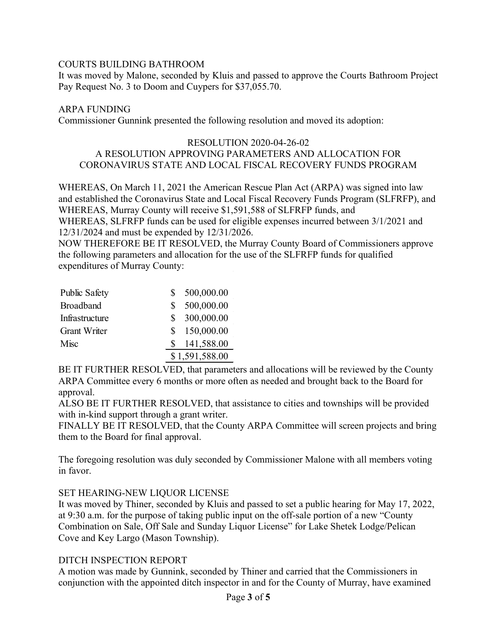### COURTS BUILDING BATHROOM

It was moved by Malone, seconded by Kluis and passed to approve the Courts Bathroom Project Pay Request No. 3 to Doom and Cuypers for \$37,055.70.

### ARPA FUNDING

Commissioner Gunnink presented the following resolution and moved its adoption:

### RESOLUTION 2020-04-26-02 A RESOLUTION APPROVING PARAMETERS AND ALLOCATION FOR CORONAVIRUS STATE AND LOCAL FISCAL RECOVERY FUNDS PROGRAM

WHEREAS, On March 11, 2021 the American Rescue Plan Act (ARPA) was signed into law and established the Coronavirus State and Local Fiscal Recovery Funds Program (SLFRFP), and WHEREAS, Murray County will receive \$1,591,588 of SLFRFP funds, and WHEREAS, SLFRFP funds can be used for eligible expenses incurred between 3/1/2021 and 12/31/2024 and must be expended by 12/31/2026.

NOW THEREFORE BE IT RESOLVED, the Murray County Board of Commissioners approve the following parameters and allocation for the use of the SLFRFP funds for qualified expenditures of Murray County:

| <b>Public Safety</b> |                | 500,000.00   |
|----------------------|----------------|--------------|
| <b>Broadband</b>     | \$.            | 500,000.00   |
| Infrastructure       |                | \$300,000.00 |
| <b>Grant Writer</b>  |                | \$150,000.00 |
| Misc                 |                | 141,588.00   |
|                      | \$1,591,588.00 |              |

BE IT FURTHER RESOLVED, that parameters and allocations will be reviewed by the County ARPA Committee every 6 months or more often as needed and brought back to the Board for approval.

ALSO BE IT FURTHER RESOLVED, that assistance to cities and townships will be provided with in-kind support through a grant writer.

FINALLY BE IT RESOLVED, that the County ARPA Committee will screen projects and bring them to the Board for final approval.

The foregoing resolution was duly seconded by Commissioner Malone with all members voting in favor.

## SET HEARING-NEW LIQUOR LICENSE

It was moved by Thiner, seconded by Kluis and passed to set a public hearing for May 17, 2022, at 9:30 a.m. for the purpose of taking public input on the off-sale portion of a new "County Combination on Sale, Off Sale and Sunday Liquor License" for Lake Shetek Lodge/Pelican Cove and Key Largo (Mason Township).

#### DITCH INSPECTION REPORT

A motion was made by Gunnink, seconded by Thiner and carried that the Commissioners in conjunction with the appointed ditch inspector in and for the County of Murray, have examined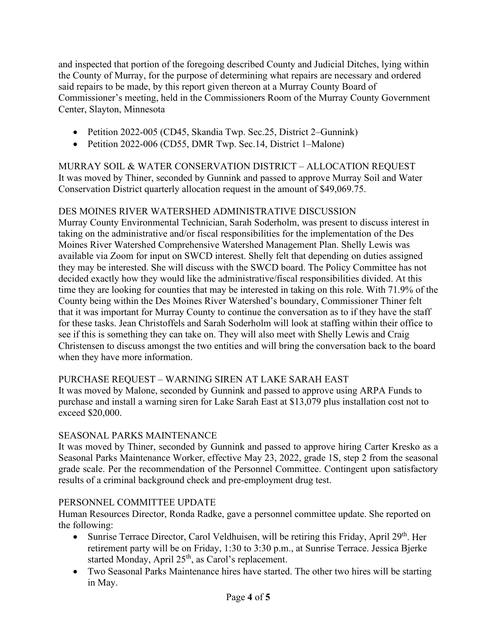and inspected that portion of the foregoing described County and Judicial Ditches, lying within the County of Murray, for the purpose of determining what repairs are necessary and ordered said repairs to be made, by this report given thereon at a Murray County Board of Commissioner's meeting, held in the Commissioners Room of the Murray County Government Center, Slayton, Minnesota

- Petition 2022-005 (CD45, Skandia Twp. Sec. 25, District 2–Gunnink)
- Petition 2022-006 (CD55, DMR Twp. Sec.14, District 1–Malone)

MURRAY SOIL & WATER CONSERVATION DISTRICT – ALLOCATION REQUEST It was moved by Thiner, seconded by Gunnink and passed to approve Murray Soil and Water Conservation District quarterly allocation request in the amount of \$49,069.75.

# DES MOINES RIVER WATERSHED ADMINISTRATIVE DISCUSSION

Murray County Environmental Technician, Sarah Soderholm, was present to discuss interest in taking on the administrative and/or fiscal responsibilities for the implementation of the Des Moines River Watershed Comprehensive Watershed Management Plan. Shelly Lewis was available via Zoom for input on SWCD interest. Shelly felt that depending on duties assigned they may be interested. She will discuss with the SWCD board. The Policy Committee has not decided exactly how they would like the administrative/fiscal responsibilities divided. At this time they are looking for counties that may be interested in taking on this role. With 71.9% of the County being within the Des Moines River Watershed's boundary, Commissioner Thiner felt that it was important for Murray County to continue the conversation as to if they have the staff for these tasks. Jean Christoffels and Sarah Soderholm will look at staffing within their office to see if this is something they can take on. They will also meet with Shelly Lewis and Craig Christensen to discuss amongst the two entities and will bring the conversation back to the board when they have more information.

# PURCHASE REQUEST – WARNING SIREN AT LAKE SARAH EAST

It was moved by Malone, seconded by Gunnink and passed to approve using ARPA Funds to purchase and install a warning siren for Lake Sarah East at \$13,079 plus installation cost not to exceed \$20,000.

# SEASONAL PARKS MAINTENANCE

It was moved by Thiner, seconded by Gunnink and passed to approve hiring Carter Kresko as a Seasonal Parks Maintenance Worker, effective May 23, 2022, grade 1S, step 2 from the seasonal grade scale. Per the recommendation of the Personnel Committee. Contingent upon satisfactory results of a criminal background check and pre-employment drug test.

# PERSONNEL COMMITTEE UPDATE

Human Resources Director, Ronda Radke, gave a personnel committee update. She reported on the following:

- Sunrise Terrace Director, Carol Veldhuisen, will be retiring this Friday, April 29<sup>th</sup>. Her retirement party will be on Friday, 1:30 to 3:30 p.m., at Sunrise Terrace. Jessica Bjerke started Monday, April 25<sup>th</sup>, as Carol's replacement.
- Two Seasonal Parks Maintenance hires have started. The other two hires will be starting in May.